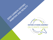**OXFORD CITIZENS ASSEMBLY** ON CLIMATE CHANGE

TEROGRAPON OTEALITY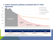#### **Agreement** Historical emissions m. 3000000 --- Historical performance Remaining carbon budget 2500000 - Science based target trajectory Business as Usual\* 2000000  $tCO<sub>2</sub>$ 1500000 **Historic emissions** 2009-2018 1000000 Immediate Term<sup>\*\*</sup> 500000 Medium Term\*\* **Long Term** 0 2009 2010 2011 2012 2013 2014 2015 2016 2017 2018 2019 2020 2021 2022 2023 2024 2025 2026 2027 2028 2029 2030 2031 2032 2033 2034 2035 2036 2037 2038 Year Medium term (2023-2027) Long term (2028-2037) Total budget (2018-2100) Immediate term (2018-2022)

### 1. Carbon emissions pathway consistent with 2°C Paris

\* Business as usual as defined by Level 1ambition thresholds within the Anthesis' SCATTER model.

 $tCO<sub>2</sub>$ 

15,187,610

\*\* Immediate Term & Medium Term periods align with the 3<sup>rd</sup> and 4<sup>th</sup> nationally legislated carbon budget periods (respectively) under the UK Climate Change Act (2008).

 $tCO<sub>2</sub>$ 

3,593,560

 $tCO<sub>2</sub>$ 

3,046,920

 $tCO<sub>2</sub>$ 

6,928,620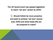The UK Government has passed legislation to reach 'net zero' carbon by 2050.

Q. Should Oxford be more proactive and seek to achieve 'net zero' sooner than 2050 and what trade-offs are we prepared to make?

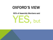# OXFORD'S VIEW

#### 90% of Assembly Members said

# YES, but

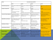| Domain                                | Zero Carbon Grid post SCATTER                                                                            |                                                                                         |                                                                                                |                                                                                                |
|---------------------------------------|----------------------------------------------------------------------------------------------------------|-----------------------------------------------------------------------------------------|------------------------------------------------------------------------------------------------|------------------------------------------------------------------------------------------------|
|                                       | Level 1                                                                                                  | Level 2                                                                                 | Level 3                                                                                        | Level 4                                                                                        |
| <b>Renewable Energy General</b>       | 170% increase in installed solar PV<br>by 2025.                                                          | 240% increase in installed solar PV<br>by 2025.                                         | 300% increase in installed solar PV<br>by 2025.                                                | 460% increase in installed solar PV by<br>2025.                                                |
| <b>Passenger Transport Shift</b>      | By 2050:<br>•100% zero emission cars and<br>buses                                                        | By 2040:<br>•100% zero emissions cars&<br>buses                                         | By 2035:<br>•100% zero emissions cars and<br>buses                                             | By 2035:<br>.100% zero emissions cars and buses                                                |
|                                       | .100% busses and passenger<br>trains electrified.                                                        | By 2050:<br>•Complete railway electrification                                           | By 2050:<br>•Complete railway electrification                                                  | By 2025:<br>•Complete railway electrification                                                  |
| <b>Commercial Property Appliances</b> | Energy demand for lights &<br>appliances increases by 33% with<br>electricity providing 60% of<br>demand | Energy demand for lights &<br>appliances increases by 15% with<br>100% electric use     | Energy demand for lights &<br>appliances decreases by 5% with<br>100% electric use             | <b>Energy demand for lights &amp;</b><br>appliances decreases by 30% with<br>100% electric use |
| <b>Freight Shift to Low Emissions</b> | .Road haulage makes up 73% of<br>distance, using conventional<br>engines<br>•Rail all diesel             | Some shift from road to rail and<br>water<br>• More efficient engines                   | Greater modal shift to rail and<br>water<br>•More efficient HGVs<br>• More efficient logistics | Road modal share falls to 50%;<br>greater hybridisation<br>.Rail freight is all electric       |
| <b>Electrification of Heating</b>     | The proportion of domestic heat<br>supplied using electricity is 0-10%,<br>as today                      | The proportion of domestic<br>heating systems using electricity<br>is 20%               | The proportion of domestic<br>heating systems supplied using<br>electricity is 30-60%          | The proportion of domestic heating<br>systems supplied using electricity is<br>80-100%         |
| <b>Energy Storage and Demand</b>      | •150 MW storage<br>•170 MW interconnection &<br>some demand shifting                                     | •170MW storage<br>•422MW interconnection &<br>substantial demand shifting               | 300MW storage<br>•634MW interconnection &<br>substantial demand shifting                       | •845MW storage<br>•1.27GW interconnection                                                      |
| <b>Domestic Property</b>              | 17% of homes insulated, average<br>thermal leakiness reduces 20%                                         | Over 20% of homes insulated,<br>average thermal leakiness<br>reduces 39%                | 45% of homes insulated, average<br>thermal leakiness reduces 57%                               | 60% of homes insulated, average<br>thermal leakiness reduces 75%                               |
| <b>Increase in Recycling</b>          | 65% recycling, 10% landfill, 25%<br>incineration by 2040, remaining<br>constant to 2050                  | 65% recycling, 10% landfill, 25%<br>incineration by 2035, remaining<br>constant to 2050 | 65% recycling, 10% landfill, 25%<br>incineration by 2040, increasing<br>to 75% by 2050         | 65% recycling, 10% landfill, 25%<br>incineration by 2035, increasing to<br>85% by 2050         |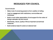#### MESSAGES FOR COUNCIL

Council should:

- Make most of convening powers to form coalition of willing
- Lead on engagement with institutions, communities and individuals
- Build a much wider appreciation of and support for the notion of being a exemplar city and council
- Biodiversity, nature, quality of life as important as technical measures
- Build evidence base for action at national level

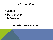#### OUR RESPONSE?

- Action
- Partnership
- Influence

Science/data led targets and actions

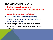#### HEADLINE COMMITMENTS

- Significant step up in engagement
- Net zero carbon Council for Council operations during 2020
- Outline plan for assets in time for budget
- Zero Carbon Oxford summit and partnership
- Significant step up in commitment around Natural Resource Management
- Call for bring forward of end of ICE vehicle sales
- Campaign for clarity ambitious zero carbon homes standards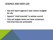#### SCIENCE AND DATA LED

- Set and report against 5 year carbon budgets for city
- Appoint "chief scientist" to advise council
- Only set targets where we have consensus that that they are achievable